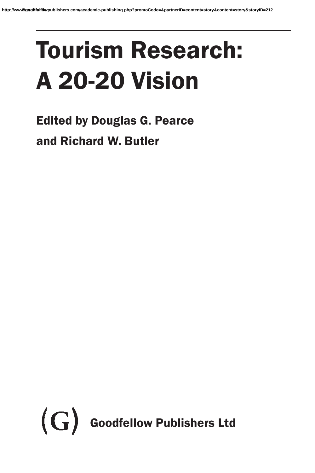# Tourism Research: A 20-20 Vision

Edited by Douglas G. Pearce and Richard W. Butler

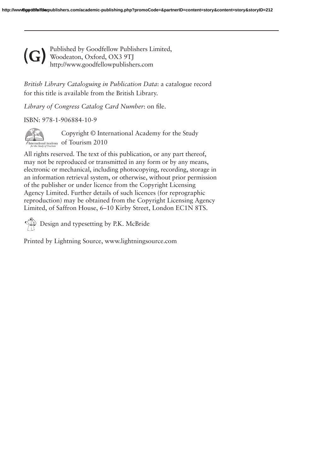Published by Goodfellow Publishers Limited, Woodeaton, Oxford, OX3 9TJ http://www.goodfellowpublishers.com **(G)**

*British Library Cataloguing in Publication Data*: a catalogue record for this title is available from the British Library.

*Library of Congress Catalog Card Number*: on file.

#### ISBN: 978-1-906884-10-9



Copyright © International Academy for the Study International Academy of Tourism 2010

reproduction) may be obtained from the Copyright Licensing Agency All rights reserved. The text of this publication, or any part thereof, may not be reproduced or transmitted in any form or by any means, electronic or mechanical, including photocopying, recording, storage in an information retrieval system, or otherwise, without prior permission of the publisher or under licence from the Copyright Licensing Agency Limited. Further details of such licences (for reprographic Limited, of Saffron House, 6–10 Kirby Street, London EC1N 8TS.

Design and typesetting by P.K. McBride

Printed by Lightning Source, www.lightningsource.com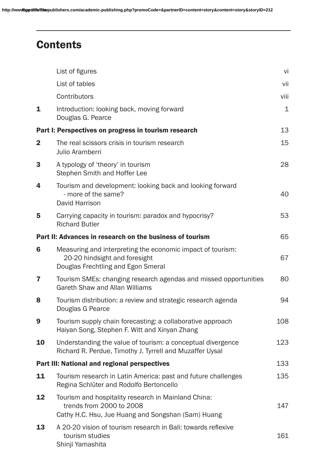# **Contents**

|                | List of figures                                                                                                                       | vi           |
|----------------|---------------------------------------------------------------------------------------------------------------------------------------|--------------|
|                | List of tables                                                                                                                        | vii          |
|                | Contributors                                                                                                                          | viii         |
| $\mathbf{1}$   | Introduction: looking back, moving forward<br>Douglas G. Pearce                                                                       | $\mathbf{1}$ |
|                | Part I: Perspectives on progress in tourism research                                                                                  | 13           |
| $\mathbf{2}$   | The real scissors crisis in tourism research<br>Julio Aramberri                                                                       | 15           |
| 3              | A typology of 'theory' in tourism<br>Stephen Smith and Hoffer Lee                                                                     | 28           |
| 4              | Tourism and development: looking back and looking forward<br>- more of the same?<br>David Harrison                                    | 40           |
| 5              | Carrying capacity in tourism: paradox and hypocrisy?<br><b>Richard Butler</b>                                                         | 53           |
|                | Part II: Advances in research on the business of tourism                                                                              | 65           |
| $6\phantom{1}$ | Measuring and interpreting the economic impact of tourism:<br>20-20 hindsight and foresight<br>Douglas Frechtling and Egon Smeral     | 67           |
| 7              | Tourism SMEs: changing research agendas and missed opportunities<br>Gareth Shaw and Allan Williams                                    | 80           |
| 8              | Tourism distribution: a review and strategic research agenda<br>Douglas G Pearce                                                      | 94           |
| 9              | Tourism supply chain forecasting: a collaborative approach<br>Haiyan Song, Stephen F. Witt and Xinyan Zhang                           | 108          |
| 10             | Understanding the value of tourism: a conceptual divergence<br>Richard R. Perdue, Timothy J. Tyrrell and Muzaffer Uysal               | 123          |
|                | Part III: National and regional perspectives                                                                                          | 133          |
| 11             | Tourism research in Latin America: past and future challenges<br>Regina Schlüter and Rodolfo Bertoncello                              | 135          |
| 12             | Tourism and hospitality research in Mainland China:<br>trends from 2000 to 2008<br>Cathy H.C. Hsu, Jue Huang and Songshan (Sam) Huang | 147          |
| 13             | A 20-20 vision of tourism research in Bali: towards reflexive<br>tourism studies<br>Shinji Yamashita                                  | 161          |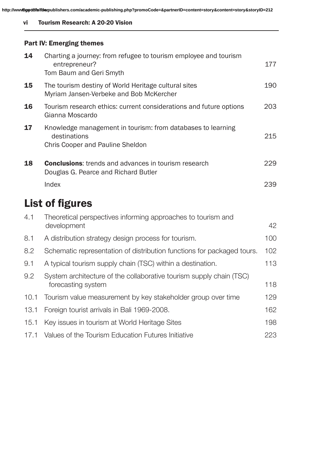vi Tourism Research: A 20-20 Vision

#### Part IV: Emerging themes

| 14  | Charting a journey: from refugee to tourism employee and tourism<br>entrepreneur?<br>Tom Baum and Geri Smyth    | 177 |
|-----|-----------------------------------------------------------------------------------------------------------------|-----|
| 15  | The tourism destiny of World Heritage cultural sites<br>Myriam Jansen-Verbeke and Bob McKercher                 | 190 |
| 16  | Tourism research ethics: current considerations and future options<br>Gianna Moscardo                           | 203 |
| 17  | Knowledge management in tourism: from databases to learning<br>destinations<br>Chris Cooper and Pauline Sheldon | 215 |
| 18  | <b>Conclusions:</b> trends and advances in tourism research<br>Douglas G. Pearce and Richard Butler             | 229 |
|     | Index                                                                                                           | 239 |
|     | <b>List of figures</b>                                                                                          |     |
| 4.1 | Theoretical perspectives informing approaches to tourism and<br>development                                     | 42  |

| 8.1  | A distribution strategy design process for tourism.                                       | 100 |
|------|-------------------------------------------------------------------------------------------|-----|
| 8.2  | Schematic representation of distribution functions for packaged tours.                    | 102 |
| 9.1  | A typical tourism supply chain (TSC) within a destination.                                | 113 |
| 9.2  | System architecture of the collaborative tourism supply chain (TSC)<br>forecasting system | 118 |
|      | 10.1 Tourism value measurement by key stakeholder group over time                         | 129 |
| 13.1 | Foreign tourist arrivals in Bali 1969-2008.                                               | 162 |
| 15.1 | Key issues in tourism at World Heritage Sites                                             | 198 |
| 17.1 | Values of the Tourism Education Futures Initiative                                        | 223 |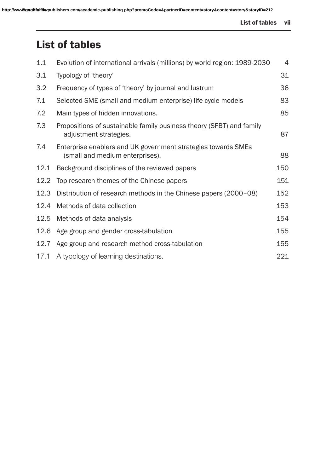# List of tables

| 1.1  | Evolution of international arrivals (millions) by world region: 1989-2030                        | 4   |
|------|--------------------------------------------------------------------------------------------------|-----|
| 3.1  | Typology of 'theory'                                                                             | 31  |
| 3.2  | Frequency of types of 'theory' by journal and lustrum                                            | 36  |
| 7.1  | Selected SME (small and medium enterprise) life cycle models                                     | 83  |
| 7.2  | Main types of hidden innovations.                                                                | 85  |
| 7.3  | Propositions of sustainable family business theory (SFBT) and family<br>adjustment strategies.   | 87  |
| 7.4  | Enterprise enablers and UK government strategies towards SMEs<br>(small and medium enterprises). | 88  |
| 12.1 | Background disciplines of the reviewed papers                                                    | 150 |
| 12.2 | Top research themes of the Chinese papers                                                        | 151 |
| 12.3 | Distribution of research methods in the Chinese papers (2000-08)                                 | 152 |
| 12.4 | Methods of data collection                                                                       | 153 |
| 12.5 | Methods of data analysis                                                                         | 154 |
| 12.6 | Age group and gender cross-tabulation                                                            | 155 |
| 12.7 | Age group and research method cross-tabulation                                                   | 155 |
| 17.1 | A typology of learning destinations.                                                             | 221 |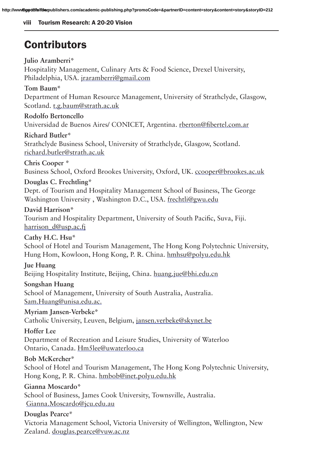#### viii Tourism Research: A 20-20 Vision

# **Contributors**

#### **Julio Aramberri\***

Hospitality Management, Culinary Arts & Food Science, Drexel University, Philadelphia, USA. jraramberri@gmail.com

#### **Tom Baum\***

Department of Human Resource Management, University of Strathclyde, Glasgow, Scotland. t.g.baum@strath.ac.uk

#### **Rodolfo Bertoncello**

Universidad de Buenos Aires/ CONICET, Argentina. rberton@fibertel.com.ar

#### **Richard Butler\***

Strathclyde Business School, University of Strathclyde, Glasgow, Scotland. richard.butler@strath.ac.uk

#### **Chris Cooper \***

Business School, Oxford Brookes University, Oxford, UK. ccooper@brookes.ac.uk

#### **Douglas C. Frechtling\***

Washington University , Washington D.C., USA. frechtli@gwu.edu Dept. of Tourism and Hospitality Management School of Business, The George

#### **David Harrison\***

Tourism and Hospitality Department, University of South Pacific, Suva, Fiji. harrison\_d@usp.ac.fj

#### **Cathy H.C. Hsu\***

School of Hotel and Tourism Management, The Hong Kong Polytechnic University, Hung Hom, Kowloon, Hong Kong, P. R. China. hmhsu@polyu.edu.hk

#### **Jue Huang**

Beijing Hospitality Institute, Beijing, China. huang.jue@bhi.edu.cn

#### **Songshan Huang**

School of Management, University of South Australia, Australia. Sam.Huang@unisa.edu.ac.

**Myriam Jansen-Verbeke\*** Catholic University, Leuven, Belgium, jansen.verbeke@skynet.be

#### **Hoffer Lee**

Department of Recreation and Leisure Studies, University of Waterloo Ontario, Canada. Hm5lee@uwaterloo.ca

#### **Bob McKercher\***

School of Hotel and Tourism Management, The Hong Kong Polytechnic University, Hong Kong, P. R. China. hmbob@inet.polyu.edu.hk

#### **Gianna Moscardo\***

School of Business, James Cook University, Townsville, Australia. Gianna.Moscardo@jcu.edu.au

#### **Douglas Pearce\***

Victoria Management School, Victoria University of Wellington, Wellington, New Zealand. douglas.pearce@vuw.ac.nz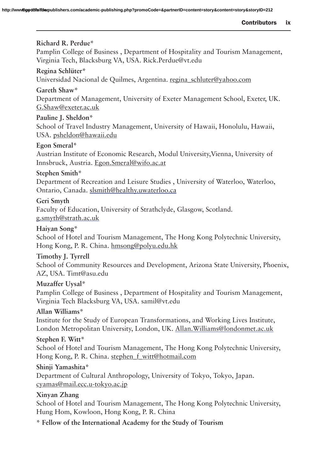#### **Richard R. Perdue\***

Pamplin College of Business , Department of Hospitality and Tourism Management, Virginia Tech, Blacksburg VA, USA. Rick.Perdue@vt.edu

#### **Regina Schlüter\***

Universidad Nacional de Quilmes, Argentina. regina\_schluter@yahoo.com

#### **Gareth Shaw\***

Department of Management, University of Exeter Management School, Exeter, UK. G.Shaw@exeter.ac.uk

#### **Pauline J. Sheldon\***

School of Travel Industry Management, University of Hawaii, Honolulu, Hawaii, USA. psheldon@hawaii.edu

#### **Egon Smeral\***

Austrian Institute of Economic Research, Modul University,Vienna, University of Innsbruck, Austria. Egon.Smeral@wifo.ac.at

#### **Stephen Smith\***

Department of Recreation and Leisure Studies , University of Waterloo, Waterloo, Ontario, Canada. slsmith@healthy.uwaterloo.ca

#### **http://www.goodfellowpublishing.php?promocode=apartnerID=2122**

Faculty of Education, University of Strathclyde, Glasgow, Scotland. g.smyth@strath.ac.uk

#### **Haiyan Song\***

School of Hotel and Tourism Management, The Hong Kong Polytechnic University, Hong Kong, P. R. China. hmsong@polyu.edu.hk

#### **Timothy J. Tyrrell**

School of Community Resources and Development, Arizona State University, Phoenix, AZ, USA. Timt@asu.edu

#### **Muzaffer Uysal\***

Pamplin College of Business , Department of Hospitality and Tourism Management, Virginia Tech Blacksburg VA, USA. samil@vt.edu

#### **Allan Williams\***

Institute for the Study of European Transformations, and Working Lives Institute, London Metropolitan University, London, UK. Allan.Williams@londonmet.ac.uk

#### **Stephen F. Witt\***

School of Hotel and Tourism Management, The Hong Kong Polytechnic University, Hong Kong, P. R. China. stephen\_f\_witt@hotmail.com

#### **Shinji Yamashita\***

Department of Cultural Anthropology, University of Tokyo, Tokyo, Japan. cyamas@mail.ecc.u-tokyo.ac.jp

#### **Xinyan Zhang**

School of Hotel and Tourism Management, The Hong Kong Polytechnic University, Hung Hom, Kowloon, Hong Kong, P. R. China

**\* Fellow of the International Academy for the Study of Tourism**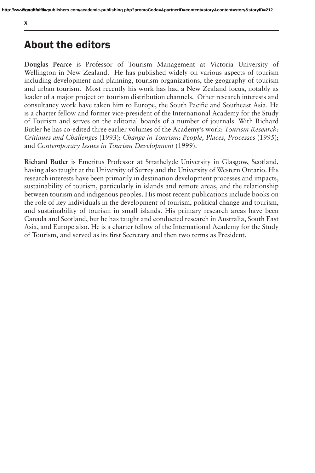## About the editors

**Douglas Pearce** is Professor of Tourism Management at Victoria University of Wellington in New Zealand. He has published widely on various aspects of tourism including development and planning, tourism organizations, the geography of tourism and urban tourism. Most recently his work has had a New Zealand focus, notably as leader of a major project on tourism distribution channels. Other research interests and consultancy work have taken him to Europe, the South Pacific and Southeast Asia. He is a charter fellow and former vice-president of the International Academy for the Study of Tourism and serves on the editorial boards of a number of journals. With Richard Butler he has co-edited three earlier volumes of the Academy's work: *Tourism Research: Critiques and Challenges* (1993); *Change in Tourism: People, Places, Processes* (1995); and *Contemporary Issues in Tourism Development* (1999).

the role of key individuals in the development of tourism, political change and tourism, **Richard Butler** is Emeritus Professor at Strathclyde University in Glasgow, Scotland, having also taught at the University of Surrey and the University of Western Ontario. His research interests have been primarily in destination development processes and impacts, sustainability of tourism, particularly in islands and remote areas, and the relationship between tourism and indigenous peoples. His most recent publications include books on and sustainability of tourism in small islands. His primary research areas have been Canada and Scotland, but he has taught and conducted research in Australia, South East Asia, and Europe also. He is a charter fellow of the International Academy for the Study of Tourism, and served as its first Secretary and then two terms as President.